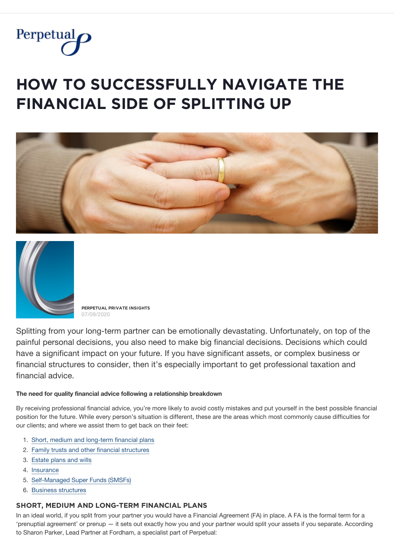

# **HOW TO SUCCESSFULLY NAVIGATE THE FINANCIAL SIDE OF SPLITTING UP**





**PERPETUAL PRIVATE INSIGHTS** 07/09/2020

Splitting from your long-term partner can be emotionally devastating. Unfortunately, on top of the painful personal decisions, you also need to make big financial decisions. Decisions which could have a significant impact on your future. If you have significant assets, or complex business or financial structures to consider, then it's especially important to get professional taxation and financial advice.

#### The need for quality financial advice following a relationship breakdown

By receiving professional financial advice, you're more likely to avoid costly mistakes and put yourself in the best possible financial position for the future. While every person's situation is different, these are the areas which most commonly cause difficulties for our clients; and where we assist them to get back on their feet:

- 1. Short, medium and long-term financial plans
- 2. Family trusts and other financial structures
- 3. Estate plans and wills
- 4. Insurance
- 5. Self-Managed Super Funds (SMSFs)
- 6. Business structures

#### SHORT, MEDIUM AND LONG-TERM FINANCIAL PLANS

In an ideal world, if you split from your partner you would have a Financial Agreement (FA) in place. A FA is the formal term for a 'prenuptial agreement' or prenup - it sets out exactly how you and your partner would split your assets if you separate. According to Sharon Parker, Lead Partner at Fordham, a specialist part of Perpetual: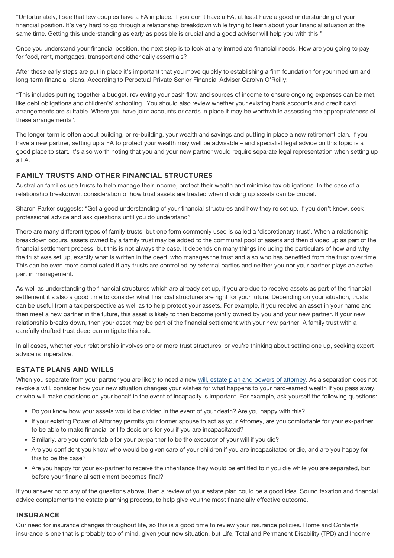"Unfortunately, I see that few couples have a FA in place. If you don't have a FA, at least have a good understanding of your financial position. It's very hard to go through a relationship breakdown while trying to learn about your financial situation at the same time. Getting this understanding as early as possible is crucial and a good adviser will help you with this."

Once you understand your financial position, the next step is to look at any immediate financial needs. How are you going to pay for food, rent, mortgages, transport and other daily essentials?

After these early steps are put in place it's important that you move quickly to establishing a firm foundation for your medium and long-term financial plans, According to Perpetual Private Senior Financial Adviser Carolyn O'Reilly:

"This includes putting together a budget, reviewing your cash flow and sources of income to ensure ongoing expenses can be met, like debt obligations and children's' schooling. You should also review whether your existing bank accounts and credit card arrangements are suitable. Where you have joint accounts or cards in place it may be worthwhile assessing the appropriateness of these arrangements".

<span id="page-1-0"></span>The longer term is often about building, or re-building, your wealth and savings and putting in place a new retirement plan. If you have a new partner, setting up a FA to protect your wealth may well be advisable – and specialist legal advice on this topic is a good place to start. It's also worth noting that you and your new partner would require separate legal representation when setting up a FA.

# **FAMILY TRUSTS AND OTHER FINANCIAL STRUCTURES**

Australian families use trusts to help manage their income, protect their wealth and minimise tax obligations. In the case of a relationship breakdown, consideration of how trust assets are treated when dividing up assets can be crucial.

Sharon Parker suggests: "Get a good understanding of your financial structures and how they're set up. If you don't know, seek professional advice and ask questions until you do understand".

There are many different types of family trusts, but one form commonly used is called a 'discretionary trust'. When a relationship breakdown occurs, assets owned by a family trust may be added to the communal pool of assets and then divided up as part of the financial settlement process, but this is not always the case. It depends on many things including the particulars of how and why the trust was set up, exactly what is written in the deed, who manages the trust and also who has benefited from the trust over time. This can be even more complicated if any trusts are controlled by external parties and neither you nor your partner plays an active part in management.

As well as understanding the financial structures which are already set up, if you are due to receive assets as part of the financial settlement it's also a good time to consider what financial structures are right for your future. Depending on your situation, trusts can be useful from a tax perspective as well as to help protect your assets. For example, if you receive an asset in your name and then meet a new partner in the future, this asset is likely to then become jointly owned by you and your new partner. If your new relationship breaks down, then your asset may be part of the financial settlement with your new partner. A family trust with a carefully drafted trust deed can mitigate this risk.

<span id="page-1-1"></span>In all cases, whether your relationship involves one or more trust structures, or you're thinking about setting one up, seeking expert advice is imperative.

## **ESTATE PLANS AND WILLS**

When you separate from your partner you are likely to need a new will, estate plan and powers of attorney. As a separation does not revoke a will, consider how your new situation changes your wishes for what happens to your hard-earned wealth if you pass away, or who will make decisions on your behalf in the event of incapacity is important. For example, ask yourself the following questions:

- Do you know how your assets would be divided in the event of your death? Are you happy with this?
- If your existing Power of Attorney permits your former spouse to act as your Attorney, are you comfortable for your ex-partner to be able to make financial or life decisions for you if you are incapacitated?
- Similarly, are you comfortable for your ex-partner to be the executor of your will if you die?
- Are you confident you know who would be given care of your children if you are incapacitated or die, and are you happy for this to be the case?
- Are you happy for your ex-partner to receive the inheritance they would be entitled to if you die while you are separated, but before your financial settlement becomes final?

<span id="page-1-2"></span>If you answer no to any of the questions above, then a review of your estate plan could be a good idea. Sound taxation and financial advice complements the estate planning process, to help give you the most financially effective outcome.

#### **INSURANCE**

Our need for insurance changes throughout life, so this is a good time to review your insurance policies. Home and Contents insurance is one that is probably top of mind, given your new situation, but Life. Total and Permanent Disability (TPD) and Income